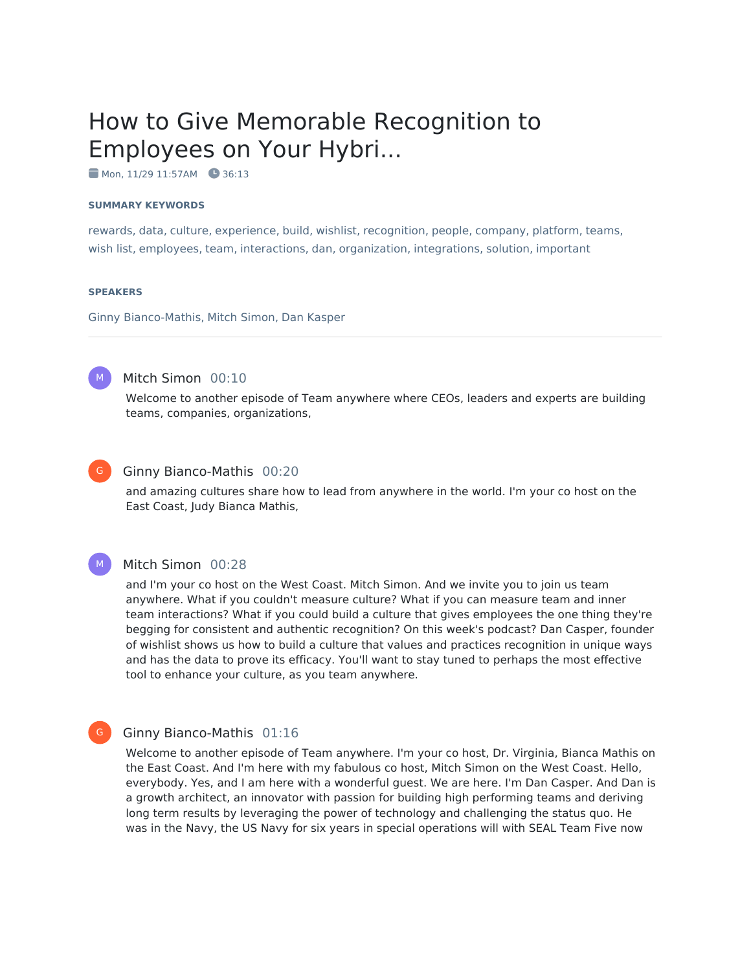# How to Give Memorable Recognition to Employees on Your Hybri...

Mon, 11/29 11:57AM 36:13

#### **SUMMARY KEYWORDS**

rewards, data, culture, experience, build, wishlist, recognition, people, company, platform, teams, wish list, employees, team, interactions, dan, organization, integrations, solution, important

#### **SPEAKERS**

Ginny Bianco-Mathis, Mitch Simon, Dan Kasper



# Mitch Simon 00:10

Welcome to another episode of Team anywhere where CEOs, leaders and experts are building teams, companies, organizations,



 $M_{\odot}$ 

G

#### Ginny Bianco-Mathis 00:20

and amazing cultures share how to lead from anywhere in the world. I'm your co host on the East Coast, Judy Bianca Mathis,

#### Mitch Simon 00:28

and I'm your co host on the West Coast. Mitch Simon. And we invite you to join us team anywhere. What if you couldn't measure culture? What if you can measure team and inner team interactions? What if you could build a culture that gives employees the one thing they're begging for consistent and authentic recognition? On this week's podcast? Dan Casper, founder of wishlist shows us how to build a culture that values and practices recognition in unique ways and has the data to prove its efficacy. You'll want to stay tuned to perhaps the most effective tool to enhance your culture, as you team anywhere.

#### Ginny Bianco-Mathis 01:16

Welcome to another episode of Team anywhere. I'm your co host, Dr. Virginia, Bianca Mathis on the East Coast. And I'm here with my fabulous co host, Mitch Simon on the West Coast. Hello, everybody. Yes, and I am here with a wonderful guest. We are here. I'm Dan Casper. And Dan is a growth architect, an innovator with passion for building high performing teams and deriving long term results by leveraging the power of technology and challenging the status quo. He was in the Navy, the US Navy for six years in special operations will with SEAL Team Five now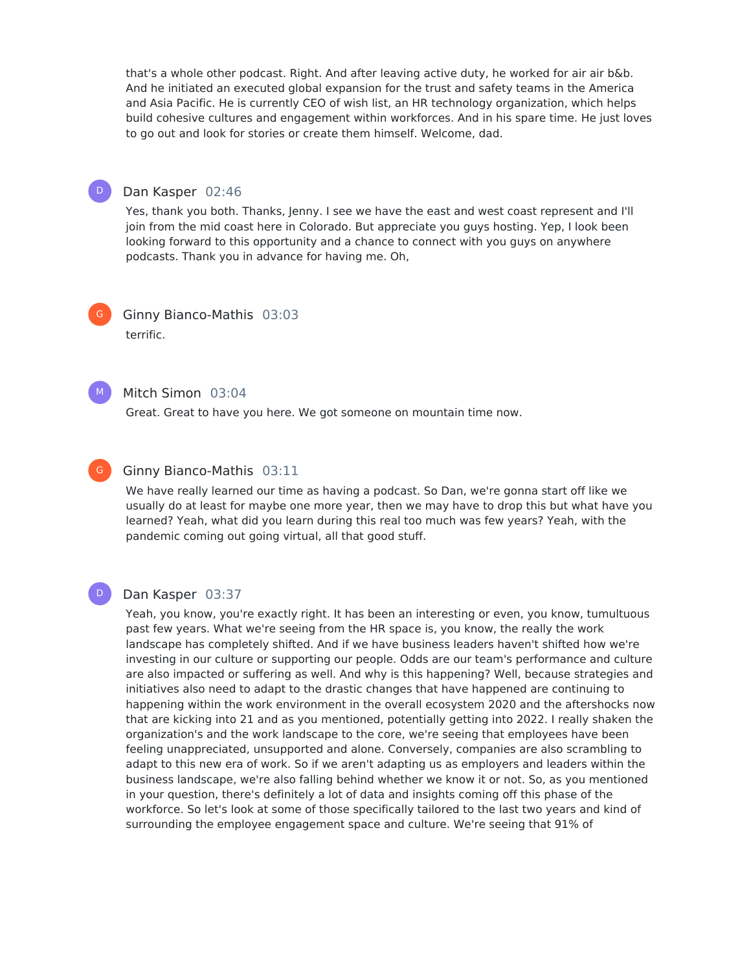that's a whole other podcast. Right. And after leaving active duty, he worked for air air b&b. And he initiated an executed global expansion for the trust and safety teams in the America and Asia Pacific. He is currently CEO of wish list, an HR technology organization, which helps build cohesive cultures and engagement within workforces. And in his spare time. He just loves to go out and look for stories or create them himself. Welcome, dad.



#### Dan Kasper 02:46

Yes, thank you both. Thanks, Jenny. I see we have the east and west coast represent and I'll join from the mid coast here in Colorado. But appreciate you guys hosting. Yep, I look been looking forward to this opportunity and a chance to connect with you guys on anywhere podcasts. Thank you in advance for having me. Oh,



Ginny Bianco-Mathis 03:03 terrific.



# Mitch Simon 03:04

Great. Great to have you here. We got someone on mountain time now.



#### Ginny Bianco-Mathis 03:11

We have really learned our time as having a podcast. So Dan, we're gonna start off like we usually do at least for maybe one more year, then we may have to drop this but what have you learned? Yeah, what did you learn during this real too much was few years? Yeah, with the pandemic coming out going virtual, all that good stuff.

D

#### Dan Kasper 03:37

Yeah, you know, you're exactly right. It has been an interesting or even, you know, tumultuous past few years. What we're seeing from the HR space is, you know, the really the work landscape has completely shifted. And if we have business leaders haven't shifted how we're investing in our culture or supporting our people. Odds are our team's performance and culture are also impacted or suffering as well. And why is this happening? Well, because strategies and initiatives also need to adapt to the drastic changes that have happened are continuing to happening within the work environment in the overall ecosystem 2020 and the aftershocks now that are kicking into 21 and as you mentioned, potentially getting into 2022. I really shaken the organization's and the work landscape to the core, we're seeing that employees have been feeling unappreciated, unsupported and alone. Conversely, companies are also scrambling to adapt to this new era of work. So if we aren't adapting us as employers and leaders within the business landscape, we're also falling behind whether we know it or not. So, as you mentioned in your question, there's definitely a lot of data and insights coming off this phase of the workforce. So let's look at some of those specifically tailored to the last two years and kind of surrounding the employee engagement space and culture. We're seeing that 91% of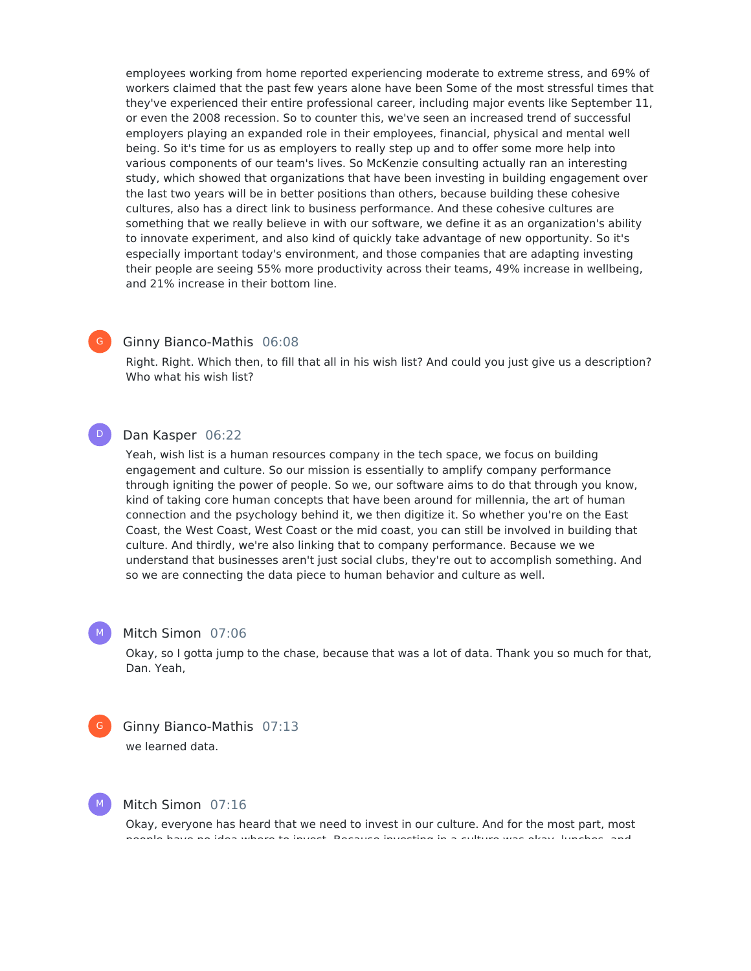employees working from home reported experiencing moderate to extreme stress, and 69% of workers claimed that the past few years alone have been Some of the most stressful times that they've experienced their entire professional career, including major events like September 11, or even the 2008 recession. So to counter this, we've seen an increased trend of successful employers playing an expanded role in their employees, financial, physical and mental well being. So it's time for us as employers to really step up and to offer some more help into various components of our team's lives. So McKenzie consulting actually ran an interesting study, which showed that organizations that have been investing in building engagement over the last two years will be in better positions than others, because building these cohesive cultures, also has a direct link to business performance. And these cohesive cultures are something that we really believe in with our software, we define it as an organization's ability to innovate experiment, and also kind of quickly take advantage of new opportunity. So it's especially important today's environment, and those companies that are adapting investing their people are seeing 55% more productivity across their teams, 49% increase in wellbeing, and 21% increase in their bottom line.

#### Ginny Bianco-Mathis 06:08

Right. Right. Which then, to fill that all in his wish list? And could you just give us a description? Who what his wish list?

#### Dan Kasper 06:22

Yeah, wish list is a human resources company in the tech space, we focus on building engagement and culture. So our mission is essentially to amplify company performance through igniting the power of people. So we, our software aims to do that through you know, kind of taking core human concepts that have been around for millennia, the art of human connection and the psychology behind it, we then digitize it. So whether you're on the East Coast, the West Coast, West Coast or the mid coast, you can still be involved in building that culture. And thirdly, we're also linking that to company performance. Because we we understand that businesses aren't just social clubs, they're out to accomplish something. And so we are connecting the data piece to human behavior and culture as well.

#### Mitch Simon 07:06

Okay, so I gotta jump to the chase, because that was a lot of data. Thank you so much for that, Dan. Yeah,



 $M_{\odot}$ 

 $\mathsf{G}^-$ 

 $\mathsf{D}^-$ 

Ginny Bianco-Mathis 07:13

we learned data.

M

# Mitch Simon 07:16

Okay, everyone has heard that we need to invest in our culture. And for the most part, most people have no idea where to invest. Because investing in a culture was okay, lunches, and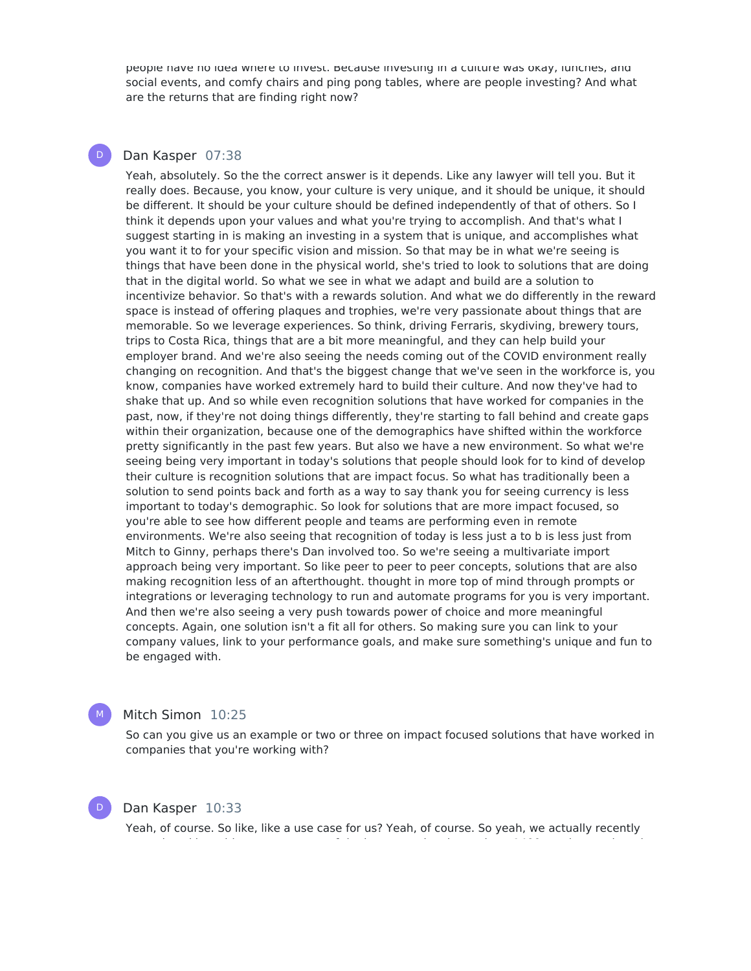people have no idea where to invest. Because investing in a culture was okay, lunches, and social events, and comfy chairs and ping pong tables, where are people investing? And what are the returns that are finding right now?

### Dan Kasper 07:38

 $\mathsf{D}^-$ 

Yeah, absolutely. So the the correct answer is it depends. Like any lawyer will tell you. But it really does. Because, you know, your culture is very unique, and it should be unique, it should be different. It should be your culture should be defined independently of that of others. So I think it depends upon your values and what you're trying to accomplish. And that's what I suggest starting in is making an investing in a system that is unique, and accomplishes what you want it to for your specific vision and mission. So that may be in what we're seeing is things that have been done in the physical world, she's tried to look to solutions that are doing that in the digital world. So what we see in what we adapt and build are a solution to incentivize behavior. So that's with a rewards solution. And what we do differently in the reward space is instead of offering plaques and trophies, we're very passionate about things that are memorable. So we leverage experiences. So think, driving Ferraris, skydiving, brewery tours, trips to Costa Rica, things that are a bit more meaningful, and they can help build your employer brand. And we're also seeing the needs coming out of the COVID environment really changing on recognition. And that's the biggest change that we've seen in the workforce is, you know, companies have worked extremely hard to build their culture. And now they've had to shake that up. And so while even recognition solutions that have worked for companies in the past, now, if they're not doing things differently, they're starting to fall behind and create gaps within their organization, because one of the demographics have shifted within the workforce pretty significantly in the past few years. But also we have a new environment. So what we're seeing being very important in today's solutions that people should look for to kind of develop their culture is recognition solutions that are impact focus. So what has traditionally been a solution to send points back and forth as a way to say thank you for seeing currency is less important to today's demographic. So look for solutions that are more impact focused, so you're able to see how different people and teams are performing even in remote environments. We're also seeing that recognition of today is less just a to b is less just from Mitch to Ginny, perhaps there's Dan involved too. So we're seeing a multivariate import approach being very important. So like peer to peer to peer concepts, solutions that are also making recognition less of an afterthought. thought in more top of mind through prompts or integrations or leveraging technology to run and automate programs for you is very important. And then we're also seeing a very push towards power of choice and more meaningful concepts. Again, one solution isn't a fit all for others. So making sure you can link to your company values, link to your performance goals, and make sure something's unique and fun to be engaged with.



# Mitch Simon 10:25

So can you give us an example or two or three on impact focused solutions that have worked in companies that you're working with?



# Dan Kasper 10:33

Yeah, of course. So like, like a use case for us? Yeah, of course. So yeah, we actually recently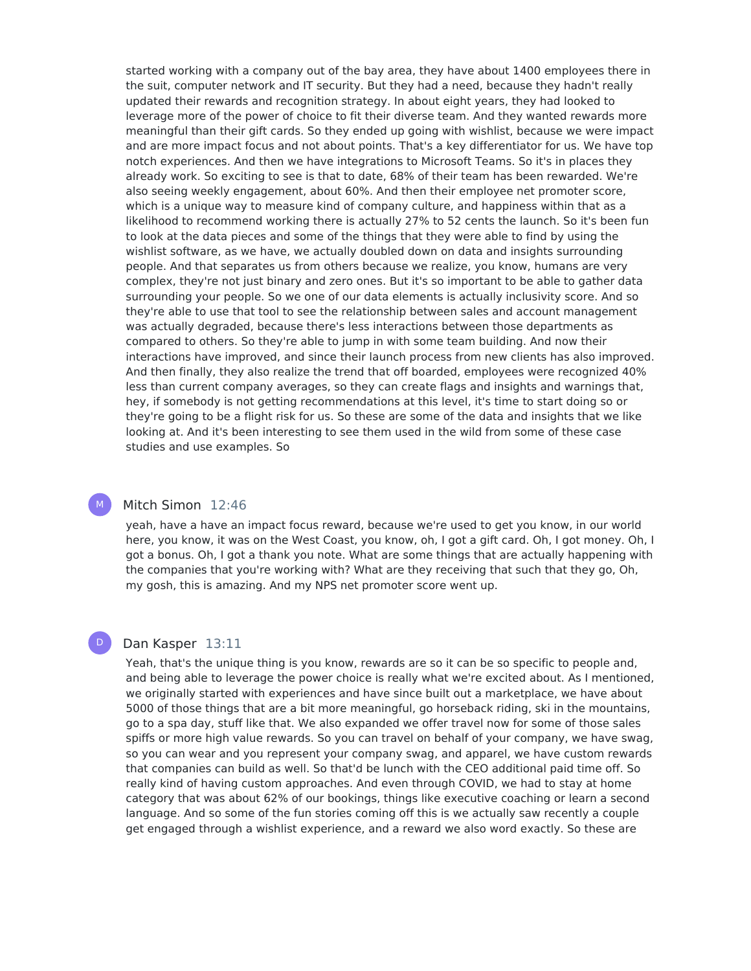started working with a company out of the bay area, they have about 1400 employees there in the suit, computer network and IT security. But they had a need, because they hadn't really updated their rewards and recognition strategy. In about eight years, they had looked to leverage more of the power of choice to fit their diverse team. And they wanted rewards more meaningful than their gift cards. So they ended up going with wishlist, because we were impact and are more impact focus and not about points. That's a key differentiator for us. We have top notch experiences. And then we have integrations to Microsoft Teams. So it's in places they already work. So exciting to see is that to date, 68% of their team has been rewarded. We're also seeing weekly engagement, about 60%. And then their employee net promoter score, which is a unique way to measure kind of company culture, and happiness within that as a likelihood to recommend working there is actually 27% to 52 cents the launch. So it's been fun to look at the data pieces and some of the things that they were able to find by using the wishlist software, as we have, we actually doubled down on data and insights surrounding people. And that separates us from others because we realize, you know, humans are very complex, they're not just binary and zero ones. But it's so important to be able to gather data surrounding your people. So we one of our data elements is actually inclusivity score. And so they're able to use that tool to see the relationship between sales and account management was actually degraded, because there's less interactions between those departments as compared to others. So they're able to jump in with some team building. And now their interactions have improved, and since their launch process from new clients has also improved. And then finally, they also realize the trend that off boarded, employees were recognized 40% less than current company averages, so they can create flags and insights and warnings that, hey, if somebody is not getting recommendations at this level, it's time to start doing so or they're going to be a flight risk for us. So these are some of the data and insights that we like looking at. And it's been interesting to see them used in the wild from some of these case studies and use examples. So

### Mitch Simon 12:46

M

D

yeah, have a have an impact focus reward, because we're used to get you know, in our world here, you know, it was on the West Coast, you know, oh, I got a gift card. Oh, I got money. Oh, I got a bonus. Oh, I got a thank you note. What are some things that are actually happening with the companies that you're working with? What are they receiving that such that they go, Oh, my gosh, this is amazing. And my NPS net promoter score went up.

#### Dan Kasper 13:11

Yeah, that's the unique thing is you know, rewards are so it can be so specific to people and, and being able to leverage the power choice is really what we're excited about. As I mentioned, we originally started with experiences and have since built out a marketplace, we have about 5000 of those things that are a bit more meaningful, go horseback riding, ski in the mountains, go to a spa day, stuff like that. We also expanded we offer travel now for some of those sales spiffs or more high value rewards. So you can travel on behalf of your company, we have swag, so you can wear and you represent your company swag, and apparel, we have custom rewards that companies can build as well. So that'd be lunch with the CEO additional paid time off. So really kind of having custom approaches. And even through COVID, we had to stay at home category that was about 62% of our bookings, things like executive coaching or learn a second language. And so some of the fun stories coming off this is we actually saw recently a couple get engaged through a wishlist experience, and a reward we also word exactly. So these are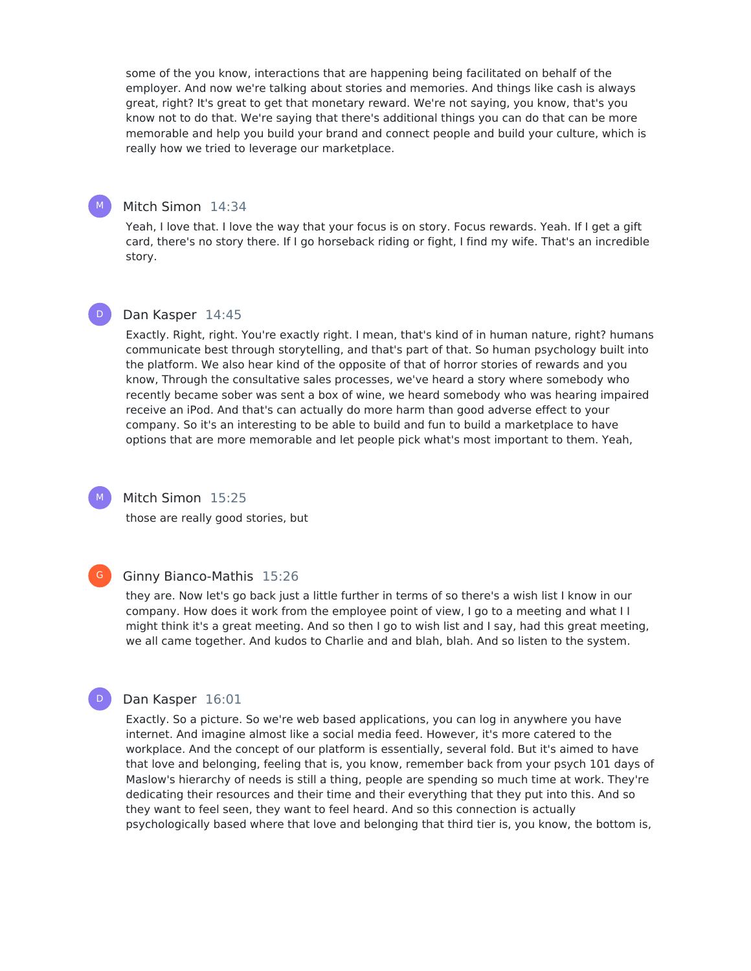some of the you know, interactions that are happening being facilitated on behalf of the employer. And now we're talking about stories and memories. And things like cash is always great, right? It's great to get that monetary reward. We're not saying, you know, that's you know not to do that. We're saying that there's additional things you can do that can be more memorable and help you build your brand and connect people and build your culture, which is really how we tried to leverage our marketplace.

#### Mitch Simon 14:34

Yeah, I love that. I love the way that your focus is on story. Focus rewards. Yeah. If I get a gift card, there's no story there. If I go horseback riding or fight, I find my wife. That's an incredible story.

#### Dan Kasper 14:45  $\mathsf{D}^-$

Exactly. Right, right. You're exactly right. I mean, that's kind of in human nature, right? humans communicate best through storytelling, and that's part of that. So human psychology built into the platform. We also hear kind of the opposite of that of horror stories of rewards and you know, Through the consultative sales processes, we've heard a story where somebody who recently became sober was sent a box of wine, we heard somebody who was hearing impaired receive an iPod. And that's can actually do more harm than good adverse effect to your company. So it's an interesting to be able to build and fun to build a marketplace to have options that are more memorable and let people pick what's most important to them. Yeah,

#### M

M

Mitch Simon 15:25

those are really good stories, but

# $G$

D

#### Ginny Bianco-Mathis 15:26

they are. Now let's go back just a little further in terms of so there's a wish list I know in our company. How does it work from the employee point of view, I go to a meeting and what I I might think it's a great meeting. And so then I go to wish list and I say, had this great meeting, we all came together. And kudos to Charlie and and blah, blah. And so listen to the system.

#### Dan Kasper 16:01

Exactly. So a picture. So we're web based applications, you can log in anywhere you have internet. And imagine almost like a social media feed. However, it's more catered to the workplace. And the concept of our platform is essentially, several fold. But it's aimed to have that love and belonging, feeling that is, you know, remember back from your psych 101 days of Maslow's hierarchy of needs is still a thing, people are spending so much time at work. They're dedicating their resources and their time and their everything that they put into this. And so they want to feel seen, they want to feel heard. And so this connection is actually psychologically based where that love and belonging that third tier is, you know, the bottom is,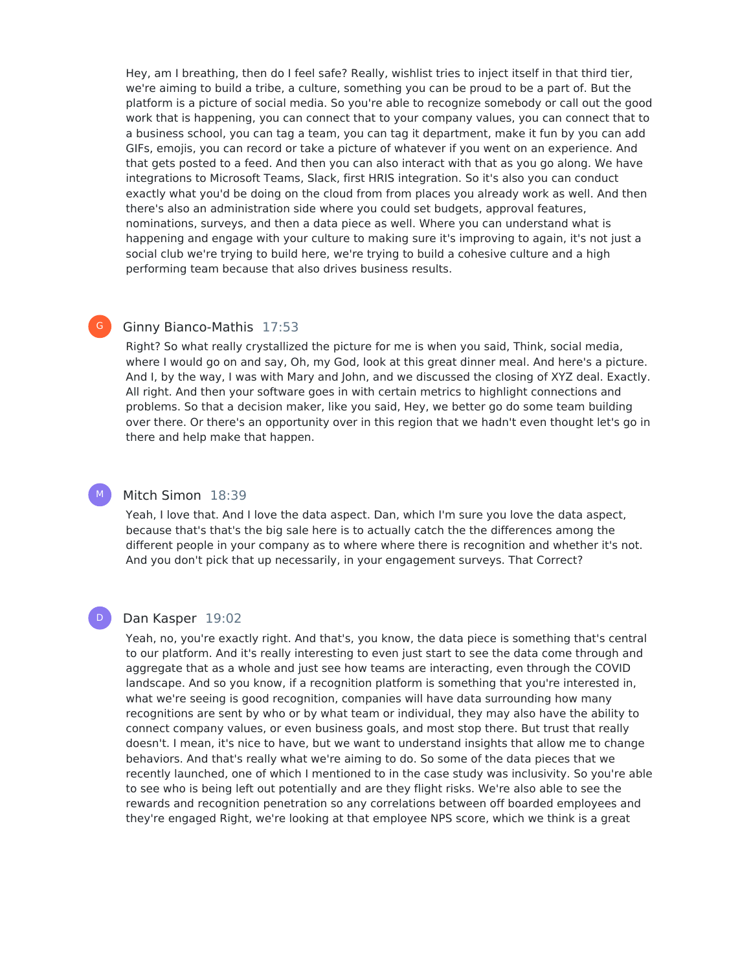Hey, am I breathing, then do I feel safe? Really, wishlist tries to inject itself in that third tier, we're aiming to build a tribe, a culture, something you can be proud to be a part of. But the platform is a picture of social media. So you're able to recognize somebody or call out the good work that is happening, you can connect that to your company values, you can connect that to a business school, you can tag a team, you can tag it department, make it fun by you can add GIFs, emojis, you can record or take a picture of whatever if you went on an experience. And that gets posted to a feed. And then you can also interact with that as you go along. We have integrations to Microsoft Teams, Slack, first HRIS integration. So it's also you can conduct exactly what you'd be doing on the cloud from from places you already work as well. And then there's also an administration side where you could set budgets, approval features, nominations, surveys, and then a data piece as well. Where you can understand what is happening and engage with your culture to making sure it's improving to again, it's not just a social club we're trying to build here, we're trying to build a cohesive culture and a high performing team because that also drives business results.

# Ginny Bianco-Mathis 17:53

 $\mathsf{G}^-$ 

M

D

Right? So what really crystallized the picture for me is when you said, Think, social media, where I would go on and say, Oh, my God, look at this great dinner meal. And here's a picture. And I, by the way, I was with Mary and John, and we discussed the closing of XYZ deal. Exactly. All right. And then your software goes in with certain metrics to highlight connections and problems. So that a decision maker, like you said, Hey, we better go do some team building over there. Or there's an opportunity over in this region that we hadn't even thought let's go in there and help make that happen.

### Mitch Simon 18:39

Yeah, I love that. And I love the data aspect. Dan, which I'm sure you love the data aspect, because that's that's the big sale here is to actually catch the the differences among the different people in your company as to where where there is recognition and whether it's not. And you don't pick that up necessarily, in your engagement surveys. That Correct?

#### Dan Kasper 19:02

Yeah, no, you're exactly right. And that's, you know, the data piece is something that's central to our platform. And it's really interesting to even just start to see the data come through and aggregate that as a whole and just see how teams are interacting, even through the COVID landscape. And so you know, if a recognition platform is something that you're interested in, what we're seeing is good recognition, companies will have data surrounding how many recognitions are sent by who or by what team or individual, they may also have the ability to connect company values, or even business goals, and most stop there. But trust that really doesn't. I mean, it's nice to have, but we want to understand insights that allow me to change behaviors. And that's really what we're aiming to do. So some of the data pieces that we recently launched, one of which I mentioned to in the case study was inclusivity. So you're able to see who is being left out potentially and are they flight risks. We're also able to see the rewards and recognition penetration so any correlations between off boarded employees and they're engaged Right, we're looking at that employee NPS score, which we think is a great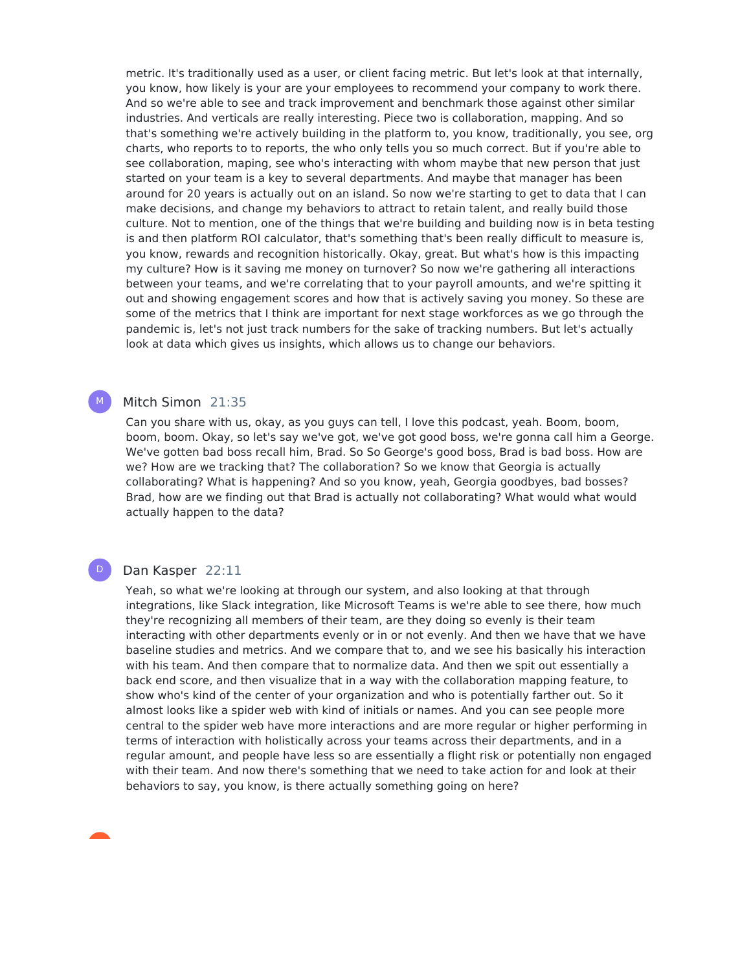metric. It's traditionally used as a user, or client facing metric. But let's look at that internally, you know, how likely is your are your employees to recommend your company to work there. And so we're able to see and track improvement and benchmark those against other similar industries. And verticals are really interesting. Piece two is collaboration, mapping. And so that's something we're actively building in the platform to, you know, traditionally, you see, org charts, who reports to to reports, the who only tells you so much correct. But if you're able to see collaboration, maping, see who's interacting with whom maybe that new person that just started on your team is a key to several departments. And maybe that manager has been around for 20 years is actually out on an island. So now we're starting to get to data that I can make decisions, and change my behaviors to attract to retain talent, and really build those culture. Not to mention, one of the things that we're building and building now is in beta testing is and then platform ROI calculator, that's something that's been really difficult to measure is, you know, rewards and recognition historically. Okay, great. But what's how is this impacting my culture? How is it saving me money on turnover? So now we're gathering all interactions between your teams, and we're correlating that to your payroll amounts, and we're spitting it out and showing engagement scores and how that is actively saving you money. So these are some of the metrics that I think are important for next stage workforces as we go through the pandemic is, let's not just track numbers for the sake of tracking numbers. But let's actually look at data which gives us insights, which allows us to change our behaviors.

# Mitch Simon 21:35

M

 $\mathsf{D}^-$ 

Can you share with us, okay, as you guys can tell, I love this podcast, yeah. Boom, boom, boom, boom. Okay, so let's say we've got, we've got good boss, we're gonna call him a George. We've gotten bad boss recall him, Brad. So So George's good boss, Brad is bad boss. How are we? How are we tracking that? The collaboration? So we know that Georgia is actually collaborating? What is happening? And so you know, yeah, Georgia goodbyes, bad bosses? Brad, how are we finding out that Brad is actually not collaborating? What would what would actually happen to the data?

#### Dan Kasper 22:11

Yeah, so what we're looking at through our system, and also looking at that through integrations, like Slack integration, like Microsoft Teams is we're able to see there, how much they're recognizing all members of their team, are they doing so evenly is their team interacting with other departments evenly or in or not evenly. And then we have that we have baseline studies and metrics. And we compare that to, and we see his basically his interaction with his team. And then compare that to normalize data. And then we spit out essentially a back end score, and then visualize that in a way with the collaboration mapping feature, to show who's kind of the center of your organization and who is potentially farther out. So it almost looks like a spider web with kind of initials or names. And you can see people more central to the spider web have more interactions and are more regular or higher performing in terms of interaction with holistically across your teams across their departments, and in a regular amount, and people have less so are essentially a flight risk or potentially non engaged with their team. And now there's something that we need to take action for and look at their behaviors to say, you know, is there actually something going on here?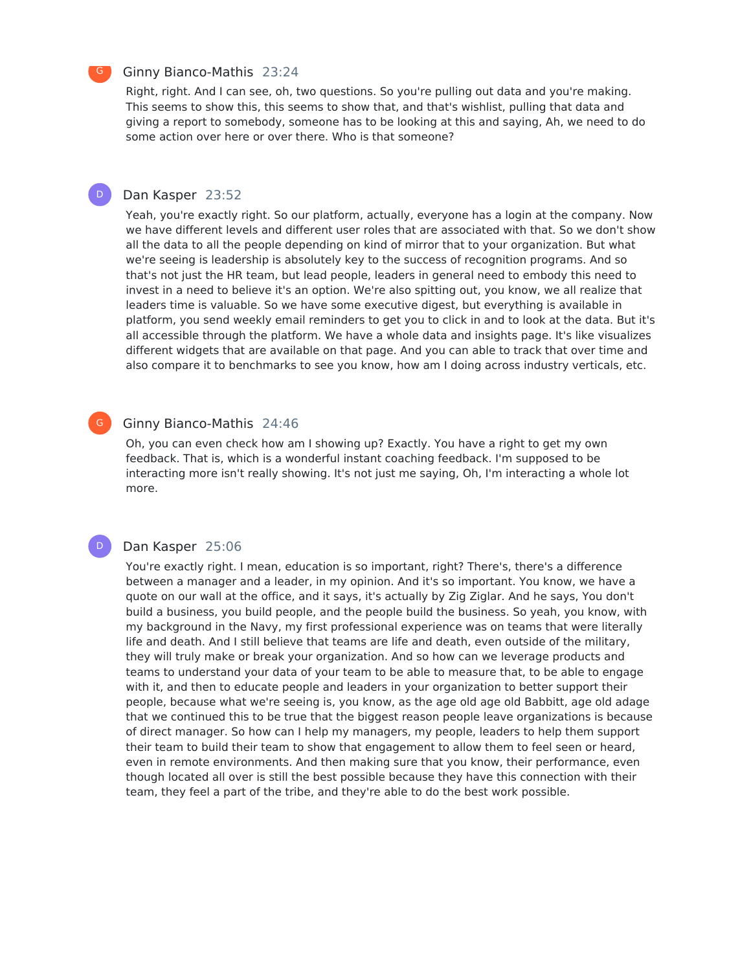#### Ginny Bianco-Mathis 23:24

Right, right. And I can see, oh, two questions. So you're pulling out data and you're making. This seems to show this, this seems to show that, and that's wishlist, pulling that data and giving a report to somebody, someone has to be looking at this and saying, Ah, we need to do some action over here or over there. Who is that someone?

#### Dan Kasper 23:52  $\mathsf{D}^-$

Yeah, you're exactly right. So our platform, actually, everyone has a login at the company. Now we have different levels and different user roles that are associated with that. So we don't show all the data to all the people depending on kind of mirror that to your organization. But what we're seeing is leadership is absolutely key to the success of recognition programs. And so that's not just the HR team, but lead people, leaders in general need to embody this need to invest in a need to believe it's an option. We're also spitting out, you know, we all realize that leaders time is valuable. So we have some executive digest, but everything is available in platform, you send weekly email reminders to get you to click in and to look at the data. But it's all accessible through the platform. We have a whole data and insights page. It's like visualizes different widgets that are available on that page. And you can able to track that over time and also compare it to benchmarks to see you know, how am I doing across industry verticals, etc.

#### Ginny Bianco-Mathis 24:46  $G$

Oh, you can even check how am I showing up? Exactly. You have a right to get my own feedback. That is, which is a wonderful instant coaching feedback. I'm supposed to be interacting more isn't really showing. It's not just me saying, Oh, I'm interacting a whole lot more.

#### Dan Kasper 25:06

D

You're exactly right. I mean, education is so important, right? There's, there's a difference between a manager and a leader, in my opinion. And it's so important. You know, we have a quote on our wall at the office, and it says, it's actually by Zig Ziglar. And he says, You don't build a business, you build people, and the people build the business. So yeah, you know, with my background in the Navy, my first professional experience was on teams that were literally life and death. And I still believe that teams are life and death, even outside of the military, they will truly make or break your organization. And so how can we leverage products and teams to understand your data of your team to be able to measure that, to be able to engage with it, and then to educate people and leaders in your organization to better support their people, because what we're seeing is, you know, as the age old age old Babbitt, age old adage that we continued this to be true that the biggest reason people leave organizations is because of direct manager. So how can I help my managers, my people, leaders to help them support their team to build their team to show that engagement to allow them to feel seen or heard, even in remote environments. And then making sure that you know, their performance, even though located all over is still the best possible because they have this connection with their team, they feel a part of the tribe, and they're able to do the best work possible.

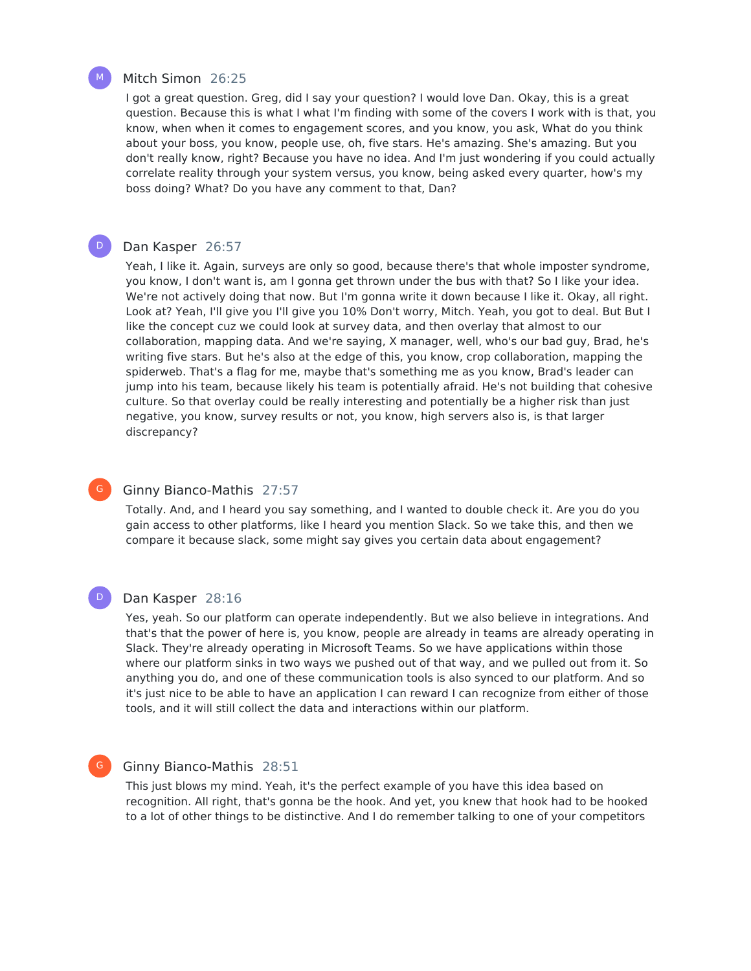

 $\mathsf{D}^-$ 

#### Mitch Simon 26:25

I got a great question. Greg, did I say your question? I would love Dan. Okay, this is a great question. Because this is what I what I'm finding with some of the covers I work with is that, you know, when when it comes to engagement scores, and you know, you ask, What do you think about your boss, you know, people use, oh, five stars. He's amazing. She's amazing. But you don't really know, right? Because you have no idea. And I'm just wondering if you could actually correlate reality through your system versus, you know, being asked every quarter, how's my boss doing? What? Do you have any comment to that, Dan?

#### Dan Kasper 26:57

Yeah, I like it. Again, surveys are only so good, because there's that whole imposter syndrome, you know, I don't want is, am I gonna get thrown under the bus with that? So I like your idea. We're not actively doing that now. But I'm gonna write it down because I like it. Okay, all right. Look at? Yeah, I'll give you I'll give you 10% Don't worry, Mitch. Yeah, you got to deal. But But I like the concept cuz we could look at survey data, and then overlay that almost to our collaboration, mapping data. And we're saying, X manager, well, who's our bad guy, Brad, he's writing five stars. But he's also at the edge of this, you know, crop collaboration, mapping the spiderweb. That's a flag for me, maybe that's something me as you know, Brad's leader can jump into his team, because likely his team is potentially afraid. He's not building that cohesive culture. So that overlay could be really interesting and potentially be a higher risk than just negative, you know, survey results or not, you know, high servers also is, is that larger discrepancy?

#### Ginny Bianco-Mathis 27:57

Totally. And, and I heard you say something, and I wanted to double check it. Are you do you gain access to other platforms, like I heard you mention Slack. So we take this, and then we compare it because slack, some might say gives you certain data about engagement?

### $\mathsf{D}^-$

 $\mathsf{G}^-$ 

#### Dan Kasper 28:16

Yes, yeah. So our platform can operate independently. But we also believe in integrations. And that's that the power of here is, you know, people are already in teams are already operating in Slack. They're already operating in Microsoft Teams. So we have applications within those where our platform sinks in two ways we pushed out of that way, and we pulled out from it. So anything you do, and one of these communication tools is also synced to our platform. And so it's just nice to be able to have an application I can reward I can recognize from either of those tools, and it will still collect the data and interactions within our platform.

#### G

#### Ginny Bianco-Mathis 28:51

This just blows my mind. Yeah, it's the perfect example of you have this idea based on recognition. All right, that's gonna be the hook. And yet, you knew that hook had to be hooked to a lot of other things to be distinctive. And I do remember talking to one of your competitors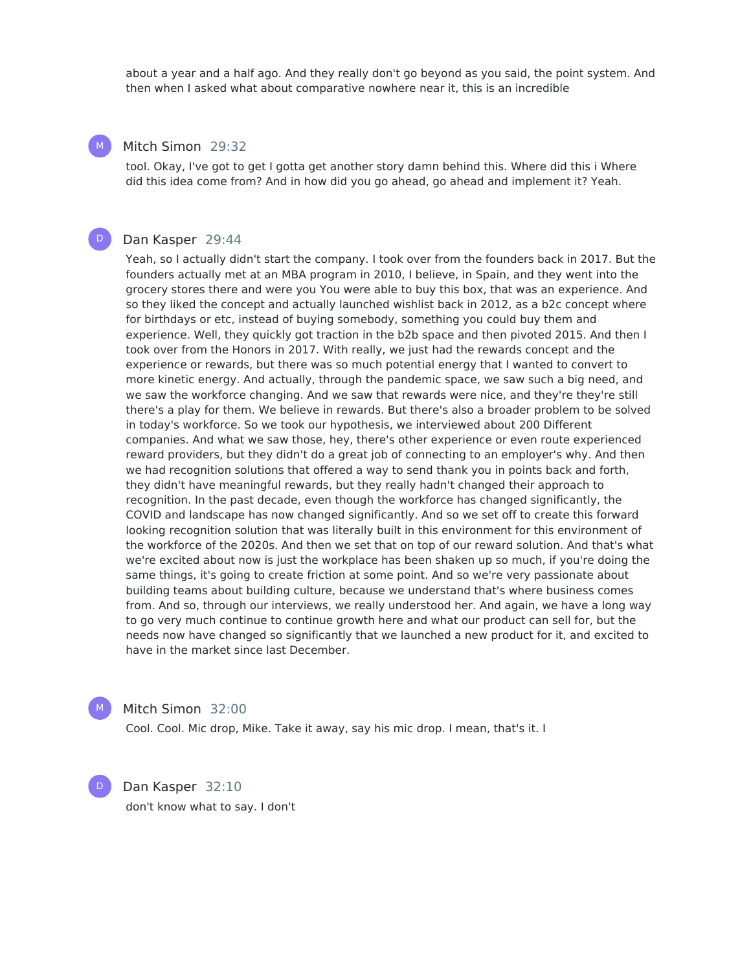about a year and a half ago. And they really don't go beyond as you said, the point system. And then when I asked what about comparative nowhere near it, this is an incredible

### Mitch Simon 29:32

tool. Okay, I've got to get I gotta get another story damn behind this. Where did this i Where did this idea come from? And in how did you go ahead, go ahead and implement it? Yeah.

#### Dan Kasper 29:44

Yeah, so I actually didn't start the company. I took over from the founders back in 2017. But the founders actually met at an MBA program in 2010, I believe, in Spain, and they went into the grocery stores there and were you You were able to buy this box, that was an experience. And so they liked the concept and actually launched wishlist back in 2012, as a b2c concept where for birthdays or etc, instead of buying somebody, something you could buy them and experience. Well, they quickly got traction in the b2b space and then pivoted 2015. And then I took over from the Honors in 2017. With really, we just had the rewards concept and the experience or rewards, but there was so much potential energy that I wanted to convert to more kinetic energy. And actually, through the pandemic space, we saw such a big need, and we saw the workforce changing. And we saw that rewards were nice, and they're they're still there's a play for them. We believe in rewards. But there's also a broader problem to be solved in today's workforce. So we took our hypothesis, we interviewed about 200 Different companies. And what we saw those, hey, there's other experience or even route experienced reward providers, but they didn't do a great job of connecting to an employer's why. And then we had recognition solutions that offered a way to send thank you in points back and forth, they didn't have meaningful rewards, but they really hadn't changed their approach to recognition. In the past decade, even though the workforce has changed significantly, the COVID and landscape has now changed significantly. And so we set off to create this forward looking recognition solution that was literally built in this environment for this environment of the workforce of the 2020s. And then we set that on top of our reward solution. And that's what we're excited about now is just the workplace has been shaken up so much, if you're doing the same things, it's going to create friction at some point. And so we're very passionate about building teams about building culture, because we understand that's where business comes from. And so, through our interviews, we really understood her. And again, we have a long way to go very much continue to continue growth here and what our product can sell for, but the needs now have changed so significantly that we launched a new product for it, and excited to have in the market since last December.



D

Mitch Simon 32:00

Cool. Cool. Mic drop, Mike. Take it away, say his mic drop. I mean, that's it. I

Dan Kasper 32:10 don't know what to say. I don't



 $\mathsf{D}^-$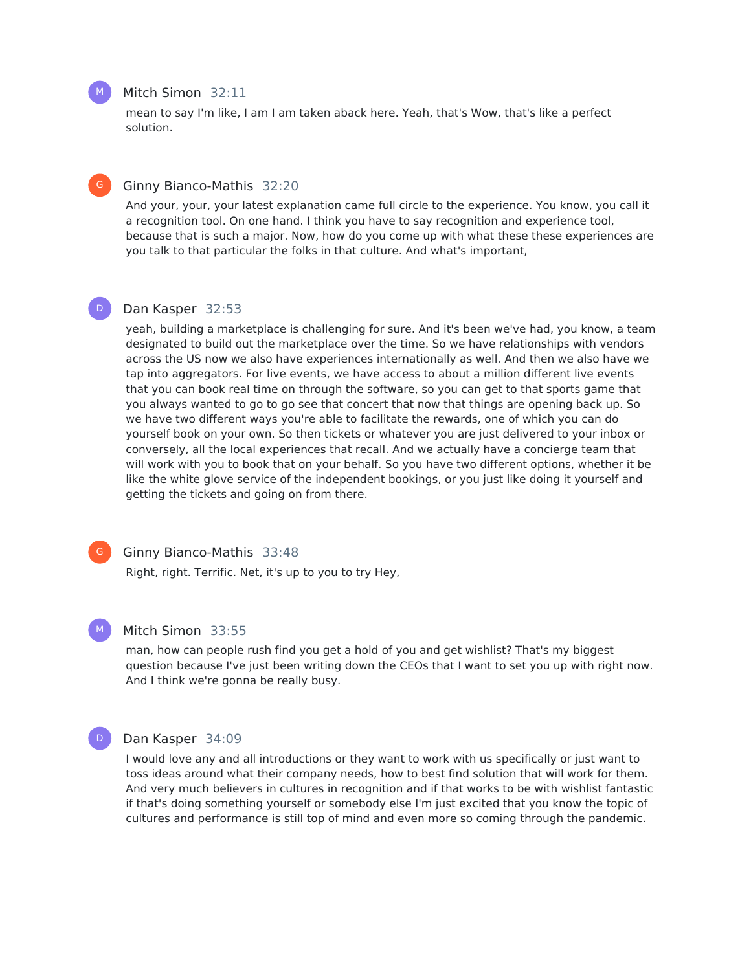#### Mitch Simon 32:11

mean to say I'm like, I am I am taken aback here. Yeah, that's Wow, that's like a perfect solution.

#### Ginny Bianco-Mathis 32:20

And your, your, your latest explanation came full circle to the experience. You know, you call it a recognition tool. On one hand. I think you have to say recognition and experience tool, because that is such a major. Now, how do you come up with what these these experiences are you talk to that particular the folks in that culture. And what's important,

#### Dan Kasper 32:53

yeah, building a marketplace is challenging for sure. And it's been we've had, you know, a team designated to build out the marketplace over the time. So we have relationships with vendors across the US now we also have experiences internationally as well. And then we also have we tap into aggregators. For live events, we have access to about a million different live events that you can book real time on through the software, so you can get to that sports game that you always wanted to go to go see that concert that now that things are opening back up. So we have two different ways you're able to facilitate the rewards, one of which you can do yourself book on your own. So then tickets or whatever you are just delivered to your inbox or conversely, all the local experiences that recall. And we actually have a concierge team that will work with you to book that on your behalf. So you have two different options, whether it be like the white glove service of the independent bookings, or you just like doing it yourself and getting the tickets and going on from there.

# $\mathsf{G}^-$

M

Ginny Bianco-Mathis 33:48

Right, right. Terrific. Net, it's up to you to try Hey,

#### Mitch Simon 33:55

man, how can people rush find you get a hold of you and get wishlist? That's my biggest question because I've just been writing down the CEOs that I want to set you up with right now. And I think we're gonna be really busy.

#### D

#### Dan Kasper 34:09

I would love any and all introductions or they want to work with us specifically or just want to toss ideas around what their company needs, how to best find solution that will work for them. And very much believers in cultures in recognition and if that works to be with wishlist fantastic if that's doing something yourself or somebody else I'm just excited that you know the topic of cultures and performance is still top of mind and even more so coming through the pandemic.



 $\mathsf{G}^-$ 

 $\mathsf{D}^-$